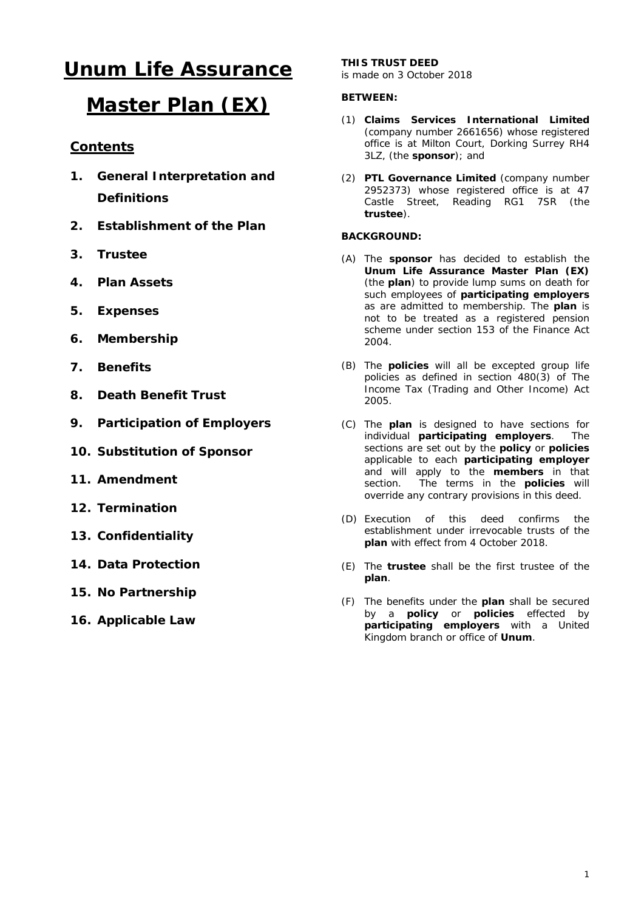# **Unum Life Assurance**

## **Master Plan (EX)**

## **Contents**

- **1. General Interpretation and Definitions**
- **2. Establishment of the Plan**
- **3. Trustee**
- **4. Plan Assets**
- **5. Expenses**
- **6. Membership**
- **7. Benefits**
- **8. Death Benefit Trust**
- **9. Participation of Employers**
- **10. Substitution of Sponsor**
- **11. Amendment**
- **12. Termination**
- **13. Confidentiality**
- **14. Data Protection**
- **15. No Partnership**
- **16. Applicable Law**

## **THIS TRUST DEED**

is made on 3 October 2018

## **BETWEEN:**

- (1) **Claims Services International Limited**  (company number 2661656) whose registered office is at Milton Court, Dorking Surrey RH4 3LZ, (the **sponsor**); and
- (2) **PTL Governance Limited** (company number 2952373) whose registered office is at 47 Castle Street, Reading RG1 7SR (the **trustee**).

## **BACKGROUND:**

- (A) The **sponsor** has decided to establish the **Unum Life Assurance Master Plan (EX)**  (the **plan**) to provide lump sums on death for such employees of **participating employers** as are admitted to membership. The **plan** is not to be treated as a registered pension scheme under section 153 of the Finance Act 2004.
- (B) The **policies** will all be excepted group life policies as defined in section 480(3) of The Income Tax (Trading and Other Income) Act 2005.
- (C) The **plan** is designed to have sections for individual **participating employers**. The sections are set out by the **policy** or **policies** applicable to each **participating employer**  and will apply to the **members** in that section. The terms in the **policies** will override any contrary provisions in this deed.
- (D) Execution of this deed confirms the establishment under irrevocable trusts of the **plan** with effect from 4 October 2018.
- (E) The **trustee** shall be the first trustee of the **plan**.
- (F) The benefits under the **plan** shall be secured by a **policy** or **policies** effected by **participating employers** with a United Kingdom branch or office of **Unum**.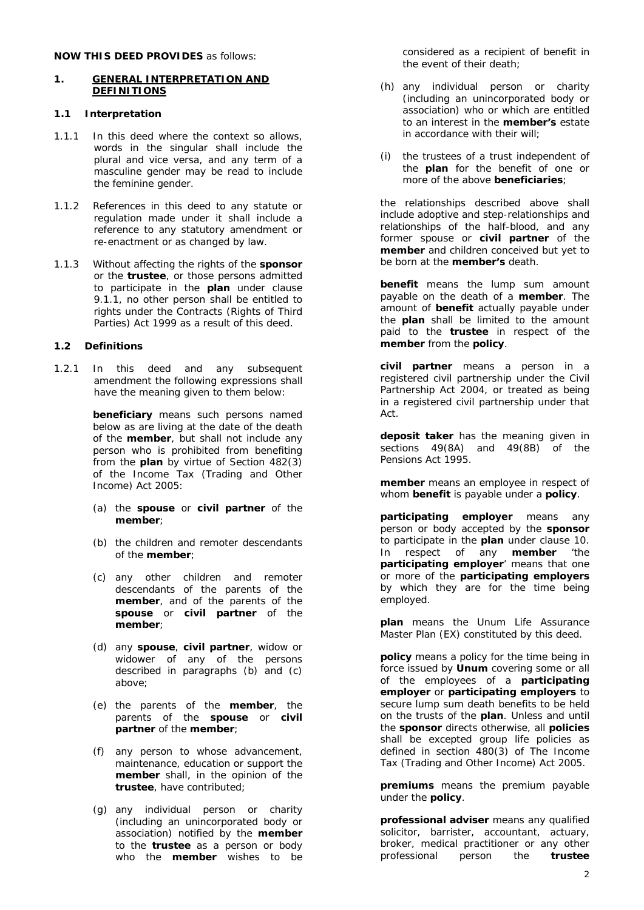## **NOW THIS DEED PROVIDES** as follows:

#### **1. GENERAL INTERPRETATION AND DEFINITIONS**

#### **1.1 Interpretation**

- 1.1.1 In this deed where the context so allows, words in the singular shall include the plural and vice versa, and any term of a masculine gender may be read to include the feminine gender.
- 1.1.2 References in this deed to any statute or regulation made under it shall include a reference to any statutory amendment or re-enactment or as changed by law.
- 1.1.3 Without affecting the rights of the **sponsor** or the **trustee**, or those persons admitted to participate in the **plan** under clause [9.1.1,](#page-5-0) no other person shall be entitled to rights under the Contracts (Rights of Third Parties) Act 1999 as a result of this deed.

## **1.2 Definitions**

1.2.1 In this deed and any subsequent amendment the following expressions shall have the meaning given to them below:

> **beneficiary** means such persons named below as are living at the date of the death of the **member**, but shall not include any person who is prohibited from benefiting from the **plan** by virtue of Section 482(3) of the Income Tax (Trading and Other Income) Act 2005:

- (a) the **spouse** or **civil partner** of the **member**;
- (b) the children and remoter descendants of the **member**;
- (c) any other children and remoter descendants of the parents of the **member**, and of the parents of the **spouse** or **civil partner** of the **member**;
- (d) any **spouse**, **civil partner**, widow or widower of any of the persons described in paragraphs (b) and (c) above;
- (e) the parents of the **member**, the parents of the **spouse** or **civil partner** of the **member**;
- (f) any person to whose advancement, maintenance, education or support the **member** shall, in the opinion of the **trustee**, have contributed;
- (g) any individual person or charity (including an unincorporated body or association) notified by the **member** to the **trustee** as a person or body who the **member** wishes to be

considered as a recipient of benefit in the event of their death;

- (h) any individual person or charity (including an unincorporated body or association) who or which are entitled to an interest in the **member's** estate in accordance with their will;
- (i) the trustees of a trust independent of the **plan** for the benefit of one or more of the above **beneficiaries**;

the relationships described above shall include adoptive and step-relationships and relationships of the half-blood, and any former spouse or **civil partner** of the **member** and children conceived but yet to be born at the **member's** death.

**benefit** means the lump sum amount payable on the death of a **member**. The amount of **benefit** actually payable under the **plan** shall be limited to the amount paid to the **trustee** in respect of the **member** from the **policy**.

**civil partner** means a person in a registered civil partnership under the Civil Partnership Act 2004, or treated as being in a registered civil partnership under that Act.

**deposit taker** has the meaning given in sections 49(8A) and 49(8B) of the Pensions Act 1995.

**member** means an employee in respect of whom **benefit** is payable under a **policy**.

**participating employer** means any person or body accepted by the **sponsor** to participate in the **plan** under clause [10.](#page-5-1) In respect of any **member** 'the **participating employer**' means that one or more of the **participating employers** by which they are for the time being employed.

**plan** means the Unum Life Assurance Master Plan (EX) constituted by this deed.

**policy** means a policy for the time being in force issued by **Unum** covering some or all of the employees of a **participating employer** or **participating employers** to secure lump sum death benefits to be held on the trusts of the **plan**. Unless and until the **sponsor** directs otherwise, all **policies** shall be excepted group life policies as defined in section  $\frac{1}{480(3)}$  of The Income Tax (Trading and Other Income) Act 2005.

**premiums** means the premium payable under the **policy**.

**professional adviser** means any qualified solicitor, barrister, accountant, actuary, broker, medical practitioner or any other<br>professional person the **trustee** professional person the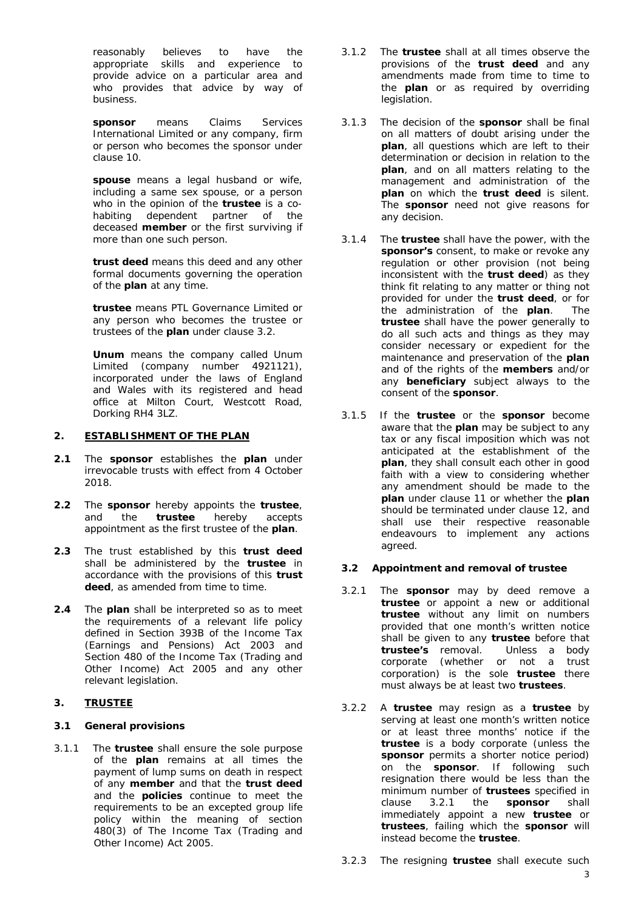reasonably believes to have the appropriate skills and experience to provide advice on a particular area and who provides that advice by way of business.

**sponsor** means Claims Services International Limited or any company, firm or person who becomes the sponsor under clause [10.](#page-6-0)

**spouse** means a legal husband or wife, including a same sex spouse, or a person who in the opinion of the **trustee** is a cohabiting dependent partner of the deceased **member** or the first surviving if more than one such person.

**trust deed** means this deed and any other formal documents governing the operation of the **plan** at any time.

**trustee** means PTL Governance Limited or any person who becomes the trustee or trustees of the **plan** under clause [3.2.](#page-2-0)

**Unum** means the company called Unum Limited (company number 4921121), incorporated under the laws of England and Wales with its registered and head office at Milton Court, Westcott Road, Dorking RH4 3LZ.

## **2. ESTABLISHMENT OF THE PLAN**

- **2.1** The **sponsor** establishes the **plan** under irrevocable trusts with effect from 4 October 2018.
- **2.2** The **sponsor** hereby appoints the **trustee**, and the **trustee** hereby accepts appointment as the first trustee of the **plan**.
- **2.3** The trust established by this **trust deed** shall be administered by the **trustee** in accordance with the provisions of this **trust deed**, as amended from time to time.
- **2.4** The **plan** shall be interpreted so as to meet the requirements of a relevant life policy defined in Section 393B of the Income Tax (Earnings and Pensions) Act 2003 and Section 480 of the Income Tax (Trading and Other Income) Act 2005 and any other relevant legislation.

## **3. TRUSTEE**

## **3.1 General provisions**

3.1.1 The **trustee** shall ensure the sole purpose of the **plan** remains at all times the payment of lump sums on death in respect of any **member** and that the **trust deed** and the **policies** continue to meet the requirements to be an excepted group life policy within the meaning of section 480(3) of The Income Tax (Trading and Other Income) Act 2005.

- 3.1.2 The **trustee** shall at all times observe the provisions of the **trust deed** and any amendments made from time to time to the **plan** or as required by overriding legislation.
- 3.1.3 The decision of the **sponsor** shall be final on all matters of doubt arising under the **plan**, all questions which are left to their determination or decision in relation to the **plan**, and on all matters relating to the management and administration of the **plan** on which the **trust deed** is silent. The **sponsor** need not give reasons for any decision.
- 3.1.4 The **trustee** shall have the power, with the **sponsor's** consent, to make or revoke any regulation or other provision (not being inconsistent with the **trust deed**) as they think fit relating to any matter or thing not provided for under the **trust deed**, or for the administration of the **plan**. The **trustee** shall have the power generally to do all such acts and things as they may consider necessary or expedient for the maintenance and preservation of the **plan** and of the rights of the **members** and/or any **beneficiary** subject always to the consent of the **sponsor**.
- 3.1.5 If the **trustee** or the **sponsor** become aware that the **plan** may be subject to any tax or any fiscal imposition which was not anticipated at the establishment of the **plan**, they shall consult each other in good faith with a view to considering whether any amendment should be made to the **plan** under clause [11](#page-6-1) or whether the **plan** should be terminated under clause [12,](#page-6-2) and shall use their respective reasonable endeavours to implement any actions agreed.

## <span id="page-2-0"></span>**3.2 Appointment and removal of trustee**

- <span id="page-2-1"></span>3.2.1 The **sponsor** may by deed remove a **trustee** or appoint a new or additional **trustee** without any limit on numbers provided that one month's written notice shall be given to any **trustee** before that **trustee's** removal. Unless a body corporate (whether or not a trust corporation) is the sole **trustee** there must always be at least two **trustees**.
- 3.2.2 A **trustee** may resign as a **trustee** by serving at least one month's written notice or at least three months' notice if the **trustee** is a body corporate (unless the **sponsor** permits a shorter notice period) on the **sponsor**. If following such resignation there would be less than the minimum number of **trustees** specified in clause [3.2.1](#page-2-1) the **sponsor** shall immediately appoint a new **trustee** or **trustees**, failing which the **sponsor** will instead become the **trustee**.
- 3.2.3 The resigning **trustee** shall execute such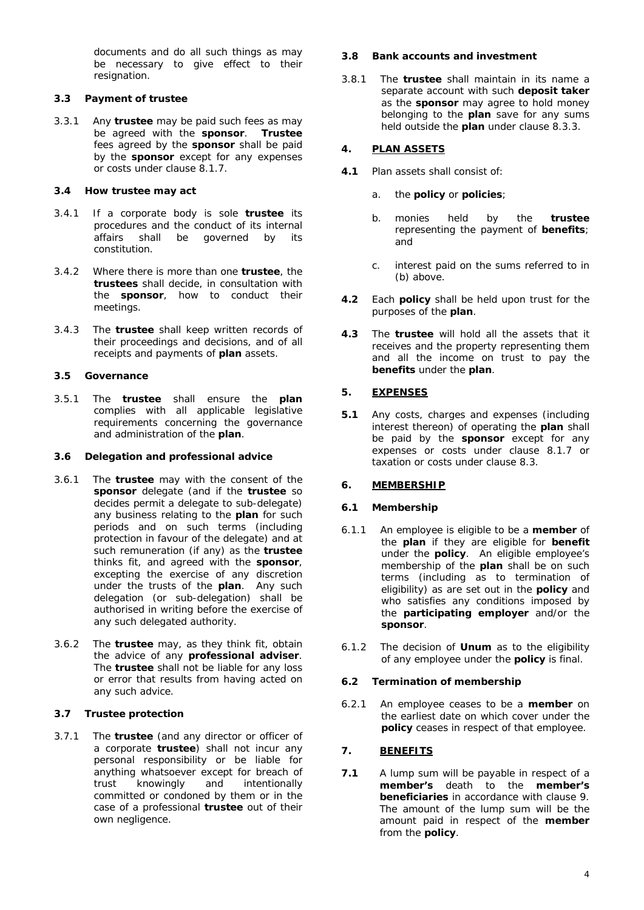documents and do all such things as may be necessary to give effect to their resignation.

## <span id="page-3-0"></span>**3.3 Payment of trustee**

3.3.1 Any **trustee** may be paid such fees as may be agreed with the **sponsor**. **Trustee** fees agreed by the **sponsor** shall be paid by the **sponsor** except for any expenses or costs under clause [8.1.7.](#page-4-0)

## **3.4 How trustee may act**

- 3.4.1 If a corporate body is sole **trustee** its procedures and the conduct of its internal affairs shall be governed by its constitution.
- 3.4.2 Where there is more than one **trustee**, the **trustees** shall decide, in consultation with the **sponsor**, how to conduct their meetings.
- 3.4.3 The **trustee** shall keep written records of their proceedings and decisions, and of all receipts and payments of **plan** assets.

## **3.5 Governance**

3.5.1 The **trustee** shall ensure the **plan** complies with all applicable legislative requirements concerning the governance and administration of the **plan**.

#### **3.6 Delegation and professional advice**

- 3.6.1 The **trustee** may with the consent of the **sponsor** delegate (and if the **trustee** so decides permit a delegate to sub-delegate) any business relating to the **plan** for such periods and on such terms (including protection in favour of the delegate) and at such remuneration (if any) as the **trustee** thinks fit, and agreed with the **sponsor**, excepting the exercise of any discretion under the trusts of the **plan**. Any such delegation (or sub-delegation) shall be authorised in writing before the exercise of any such delegated authority.
- 3.6.2 The **trustee** may, as they think fit, obtain the advice of any **professional adviser**. The **trustee** shall not be liable for any loss or error that results from having acted on any such advice.

## **3.7 Trustee protection**

3.7.1 The **trustee** (and any director or officer of a corporate **trustee**) shall not incur any personal responsibility or be liable for anything whatsoever except for breach of trust knowingly and intentionally committed or condoned by them or in the case of a professional **trustee** out of their own negligence.

## **3.8 Bank accounts and investment**

3.8.1 The **trustee** shall maintain in its name a separate account with such **deposit taker** as the **sponsor** may agree to hold money belonging to the **plan** save for any sums held outside the **plan** under clause [8.3.3.](#page-4-1)

## **4. PLAN ASSETS**

- **4.1** Plan assets shall consist of:
	- a. the **policy** or **policies**;
	- b. monies held by the **trustee** representing the payment of **benefits**; and
	- c. interest paid on the sums referred to in (b) above.
- **4.2** Each **policy** shall be held upon trust for the purposes of the **plan**.
- **4.3** The **trustee** will hold all the assets that it receives and the property representing them and all the income on trust to pay the **benefits** under the **plan**.

## <span id="page-3-1"></span>**5. EXPENSES**

**5.1** Any costs, charges and expenses (including interest thereon) of operating the **plan** shall be paid by the **sponsor** except for any expenses or costs under clause [8.1.7](#page-4-0) or taxation or costs under clause [8.3.](#page-4-2)

## **6. MEMBERSHIP**

## **6.1 Membership**

- 6.1.1 An employee is eligible to be a **member** of the **plan** if they are eligible for **benefit**  under the **policy**. An eligible employee's membership of the **plan** shall be on such terms (including as to termination of eligibility) as are set out in the **policy** and who satisfies any conditions imposed by the **participating employer** and/or the **sponsor**.
- 6.1.2 The decision of **Unum** as to the eligibility of any employee under the **policy** is final.

## **6.2 Termination of membership**

6.2.1 An employee ceases to be a **member** on the earliest date on which cover under the **policy** ceases in respect of that employee.

## **7. BENEFITS**

**7.1** A lump sum will be payable in respect of a **member's** death to the **member's beneficiaries** in accordance with clause [9.](#page-4-3) The amount of the lump sum will be the amount paid in respect of the **member** from the **policy**.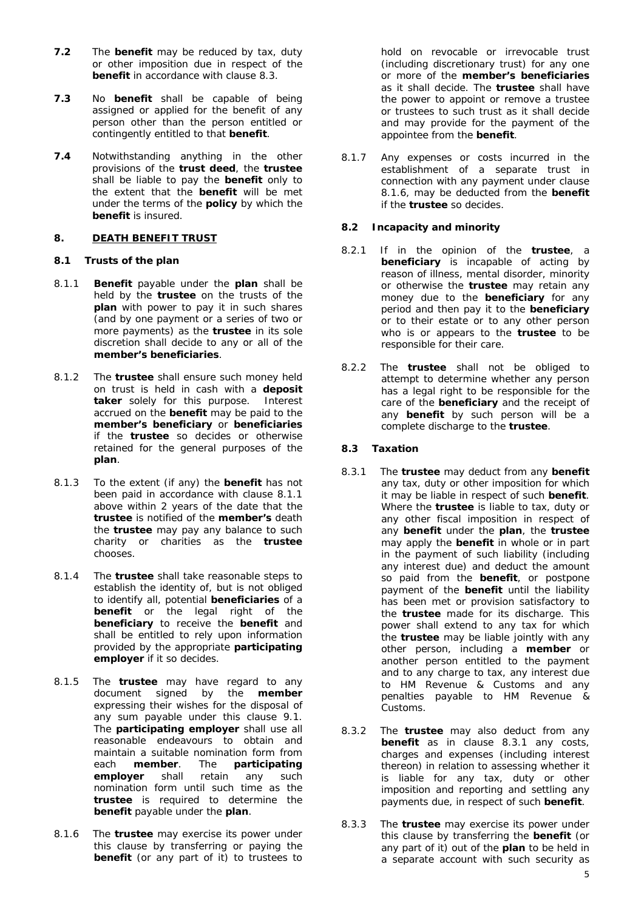- **7.2** The **benefit** may be reduced by tax, duty or other imposition due in respect of the **benefit** in accordance with clause [8.3.](#page-4-2)
- **7.3** No **benefit** shall be capable of being assigned or applied for the benefit of any person other than the person entitled or contingently entitled to that **benefit**.
- **7.4** Notwithstanding anything in the other provisions of the **trust deed**, the **trustee** shall be liable to pay the **benefit** only to the extent that the **benefit** will be met under the terms of the **policy** by which the **benefit** is insured.

## <span id="page-4-3"></span>**8. DEATH BENEFIT TRUST**

## <span id="page-4-5"></span>**8.1 Trusts of the plan**

- <span id="page-4-4"></span>8.1.1 **Benefit** payable under the **plan** shall be held by the **trustee** on the trusts of the **plan** with power to pay it in such shares (and by one payment or a series of two or more payments) as the **trustee** in its sole discretion shall decide to any or all of the **member's beneficiaries**.
- 8.1.2 The **trustee** shall ensure such money held on trust is held in cash with a **deposit taker** solely for this purpose. Interest accrued on the **benefit** may be paid to the **member's beneficiary** or **beneficiaries** if the **trustee** so decides or otherwise retained for the general purposes of the **plan**.
- 8.1.3 To the extent (if any) the **benefit** has not been paid in accordance with clause [8.1.1](#page-4-4) above within 2 years of the date that the **trustee** is notified of the **member's** death the **trustee** may pay any balance to such charity or charities as the **trustee** chooses.
- 8.1.4 The **trustee** shall take reasonable steps to establish the identity of, but is not obliged to identify all, potential **beneficiaries** of a **benefit** or the legal right of the **beneficiary** to receive the **benefit** and shall be entitled to rely upon information provided by the appropriate **participating employer** if it so decides.
- 8.1.5 The **trustee** may have regard to any document signed by the **member** expressing their wishes for the disposal of any sum payable under this clause [9.1.](#page-4-5) The **participating employer** shall use all reasonable endeavours to obtain and maintain a suitable nomination form from each **member**. The **participating employer** shall retain any such nomination form until such time as the **trustee** is required to determine the **benefit** payable under the **plan**.
- <span id="page-4-6"></span>8.1.6 The **trustee** may exercise its power under this clause by transferring or paying the **benefit** (or any part of it) to trustees to

hold on revocable or irrevocable trust (including discretionary trust) for any one or more of the **member's beneficiaries** as it shall decide. The **trustee** shall have the power to appoint or remove a trustee or trustees to such trust as it shall decide and may provide for the payment of the appointee from the **benefit**.

<span id="page-4-0"></span>8.1.7 Any expenses or costs incurred in the establishment of a separate trust in connection with any payment under clause [8.1.6,](#page-4-6) may be deducted from the **benefit** if the **trustee** so decides.

## **8.2 Incapacity and minority**

- 8.2.1 If in the opinion of the **trustee**, a **beneficiary** is incapable of acting by reason of illness, mental disorder, minority or otherwise the **trustee** may retain any money due to the **beneficiary** for any period and then pay it to the **beneficiary** or to their estate or to any other person who is or appears to the **trustee** to be responsible for their care.
- 8.2.2 The **trustee** shall not be obliged to attempt to determine whether any person has a legal right to be responsible for the care of the **beneficiary** and the receipt of any **benefit** by such person will be a complete discharge to the **trustee**.

## <span id="page-4-2"></span>**8.3 Taxation**

- <span id="page-4-7"></span>8.3.1 The **trustee** may deduct from any **benefit** any tax, duty or other imposition for which it may be liable in respect of such **benefit**. Where the **trustee** is liable to tax, duty or any other fiscal imposition in respect of any **benefit** under the **plan**, the **trustee** may apply the **benefit** in whole or in part in the payment of such liability (including any interest due) and deduct the amount so paid from the **benefit**, or postpone payment of the **benefit** until the liability has been met or provision satisfactory to the **trustee** made for its discharge. This power shall extend to any tax for which the **trustee** may be liable jointly with any other person, including a **member** or another person entitled to the payment and to any charge to tax, any interest due to HM Revenue & Customs and any penalties payable to HM Revenue & Customs.
- <span id="page-4-8"></span>8.3.2 The **trustee** may also deduct from any **benefit** as in clause [8.3.1](#page-4-7) any costs, charges and expenses (including interest thereon) in relation to assessing whether it is liable for any tax, duty or other imposition and reporting and settling any payments due, in respect of such **benefit**.
- <span id="page-4-1"></span>8.3.3 The **trustee** may exercise its power under this clause by transferring the **benefit** (or any part of it) out of the **plan** to be held in a separate account with such security as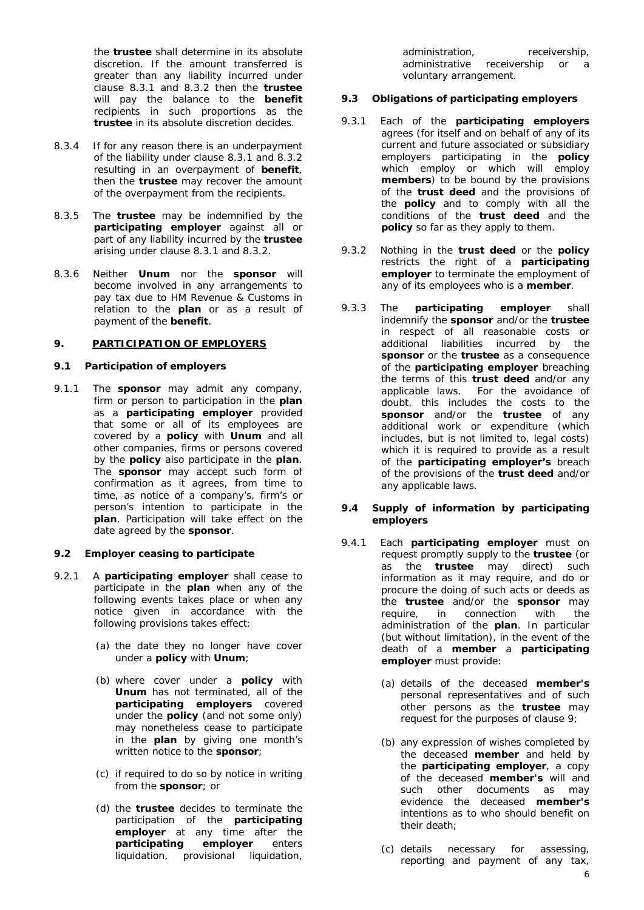the **trustee** shall determine in its absolute discretion. If the amount transferred is greater than any liability incurred under clause [8.3.1](#page-4-7) and [8.3.2](#page-4-8) then the **trustee** will pay the balance to the **benefit** recipients in such proportions as the **trustee** in its absolute discretion decides.

- 8.3.4 If for any reason there is an underpayment of the liability under clause [8.3.1](#page-4-7) and [8.3.2](#page-4-8) resulting in an overpayment of **benefit**, then the **trustee** may recover the amount of the overpayment from the recipients.
- 8.3.5 The **trustee** may be indemnified by the **participating employer** against all or part of any liability incurred by the **trustee** arising under clause [8.3.1](#page-4-7) and [8.3.2.](#page-4-8)
- 8.3.6 Neither **Unum** nor the **sponsor** will become involved in any arrangements to pay tax due to HM Revenue & Customs in relation to the **plan** or as a result of payment of the **benefit**.

## <span id="page-5-1"></span>**9. PARTICIPATION OF EMPLOYERS**

#### **9.1 Participation of employers**

<span id="page-5-0"></span>9.1.1 The **sponsor** may admit any company, firm or person to participation in the **plan** as a **participating employer** provided that some or all of its employees are covered by a **policy** with **Unum** and all other companies, firms or persons covered by the **policy** also participate in the **plan**. The **sponsor** may accept such form of confirmation as it agrees, from time to time, as notice of a company's, firm's or person's intention to participate in the **plan**. Participation will take effect on the date agreed by the **sponsor**.

#### **9.2 Employer ceasing to participate**

- 9.2.1 A **participating employer** shall cease to participate in the **plan** when any of the following events takes place or when any notice given in accordance with the following provisions takes effect:
	- (a) the date they no longer have cover under a **policy** with **Unum**;
	- (b) where cover under a **policy** with **Unum** has not terminated, all of the **participating employers** covered under the **policy** (and not some only) may nonetheless cease to participate in the **plan** by giving one month's written notice to the **sponsor**;
	- (c) if required to do so by notice in writing from the **sponsor**; or
	- (d) the **trustee** decides to terminate the participation of the **participating employer** at any time after the **participating employer** enters **participating employer** enters liquidation, provisional liquidation,

administration, receivership, administrative receivership or a voluntary arrangement.

## **9.3 Obligations of participating employers**

- 9.3.1 Each of the **participating employers** agrees (for itself and on behalf of any of its current and future associated or subsidiary employers participating in the **policy** which employ or which will employ **members**) to be bound by the provisions of the **trust deed** and the provisions of the **policy** and to comply with all the conditions of the **trust deed** and the **policy** so far as they apply to them.
- 9.3.2 Nothing in the **trust deed** or the **policy** restricts the right of a **participating employer** to terminate the employment of any of its employees who is a **member**.
- 9.3.3 The **participating employer** shall indemnify the **sponsor** and/or the **trustee** in respect of all reasonable costs or additional liabilities incurred by the **sponsor** or the **trustee** as a consequence of the **participating employer** breaching the terms of this **trust deed** and/or any applicable laws. For the avoidance of doubt, this includes the costs to the **sponsor** and/or the **trustee** of any additional work or expenditure (which includes, but is not limited to, legal costs) which it is required to provide as a result of the **participating employer's** breach of the provisions of the **trust deed** and/or any applicable laws.

#### **9.4 Supply of information by participating employers**

- 9.4.1 Each **participating employer** must on request promptly supply to the **trustee** (or as the **trustee** may direct) such information as it may require, and do or procure the doing of such acts or deeds as the **trustee** and/or the **sponsor** may require, in connection with the administration of the **plan**. In particular (but without limitation), in the event of the death of a **member** a **participating employer** must provide:
	- (a) details of the deceased **member's** personal representatives and of such other persons as the **trustee** may request for the purposes of clause [9;](#page-4-3)
	- (b) any expression of wishes completed by the deceased **member** and held by the **participating employer**, a copy of the deceased **member's** will and such other documents as may evidence the deceased **member's** intentions as to who should benefit on their death;
	- (c) details necessary for assessing, reporting and payment of any tax,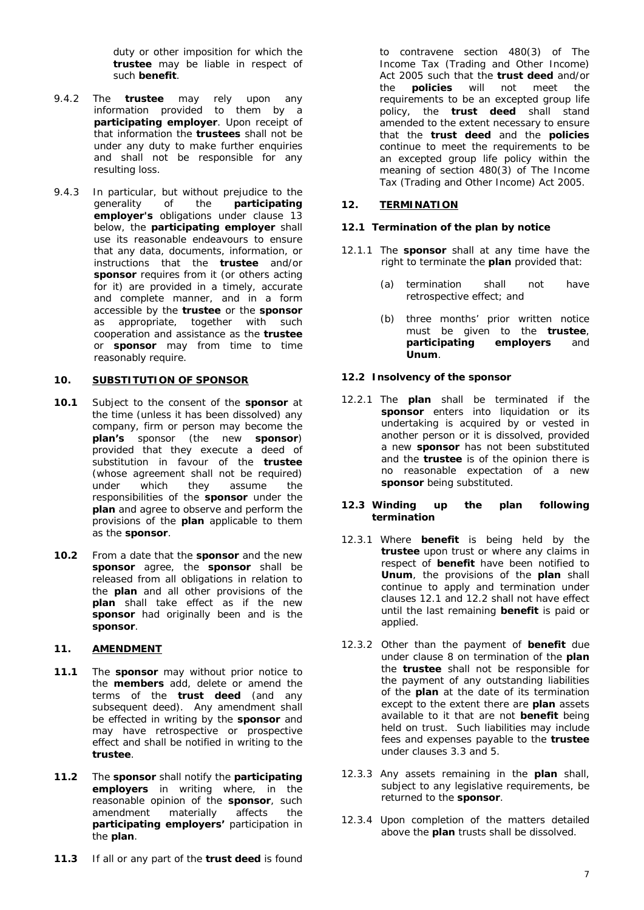duty or other imposition for which the **trustee** may be liable in respect of such **benefit**.

- 9.4.2 The **trustee** may rely upon any information provided to them by a **participating employer**. Upon receipt of that information the **trustees** shall not be under any duty to make further enquiries and shall not be responsible for any resulting loss.
- 9.4.3 In particular, but without prejudice to the generality of the **participating employer's** obligations under clause [13](#page-6-3) below, the **participating employer** shall use its reasonable endeavours to ensure that any data, documents, information, or instructions that the **trustee** and/or **sponsor** requires from it (or others acting for it) are provided in a timely, accurate and complete manner, and in a form accessible by the **trustee** or the **sponsor** as appropriate, together with such cooperation and assistance as the **trustee** or **sponsor** may from time to time reasonably require.

#### <span id="page-6-0"></span>**10. SUBSTITUTION OF SPONSOR**

- **10.1** Subject to the consent of the **sponsor** at the time (unless it has been dissolved) any company, firm or person may become the **plan's** sponsor (the new **sponsor**) provided that they execute a deed of substitution in favour of the **trustee** (whose agreement shall not be required) under which they assume the responsibilities of the **sponsor** under the **plan** and agree to observe and perform the provisions of the **plan** applicable to them as the **sponsor**.
- **10.2** From a date that the **sponsor** and the new **sponsor** agree, the **sponsor** shall be released from all obligations in relation to the **plan** and all other provisions of the **plan** shall take effect as if the new **sponsor** had originally been and is the **sponsor**.

## <span id="page-6-1"></span>**11. AMENDMENT**

- **11.1** The **sponsor** may without prior notice to the **members** add, delete or amend the terms of the **trust deed** (and any subsequent deed). Any amendment shall be effected in writing by the **sponsor** and may have retrospective or prospective effect and shall be notified in writing to the **trustee**.
- **11.2** The **sponsor** shall notify the **participating employers** in writing where, in the reasonable opinion of the **sponsor**, such amendment materially affects the **participating employers'** participation in the **plan**.
- **11.3** If all or any part of the **trust deed** is found

to contravene section 480(3) of The Income Tax (Trading and Other Income) Act 2005 such that the **trust deed** and/or the **policies** will not meet the requirements to be an excepted group life policy, the **trust deed** shall stand amended to the extent necessary to ensure that the **trust deed** and the **policies** continue to meet the requirements to be an excepted group life policy within the meaning of section 480(3) of The Income Tax (Trading and Other Income) Act 2005.

## <span id="page-6-2"></span>**12. TERMINATION**

#### <span id="page-6-4"></span>**12.1 Termination of the plan by notice**

- 12.1.1 The **sponsor** shall at any time have the right to terminate the **plan** provided that:
	- (a) termination shall not have retrospective effect; and
	- (b) three months' prior written notice must be given to the **trustee**, **participating employers** and **Unum**.

## <span id="page-6-5"></span>**12.2 Insolvency of the sponsor**

12.2.1 The **plan** shall be terminated if the **sponsor** enters into liquidation or its undertaking is acquired by or vested in another person or it is dissolved, provided a new **sponsor** has not been substituted and the **trustee** is of the opinion there is no reasonable expectation of a new **sponsor** being substituted.

#### **12.3 Winding up the plan following termination**

- 12.3.1 Where **benefit** is being held by the **trustee** upon trust or where any claims in respect of **benefit** have been notified to **Unum**, the provisions of the **plan** shall continue to apply and termination under clauses [12.1](#page-6-4) and [12.2](#page-6-5) shall not have effect until the last remaining **benefit** is paid or applied.
- 12.3.2 Other than the payment of **benefit** due under clause 8 on termination of the **plan** the **trustee** shall not be responsible for the payment of any outstanding liabilities of the **plan** at the date of its termination except to the extent there are **plan** assets available to it that are not **benefit** being held on trust. Such liabilities may include fees and expenses payable to the **trustee** under clauses [3.3](#page-3-0) and [5.](#page-3-1)
- 12.3.3 Any assets remaining in the **plan** shall, subject to any legislative requirements, be returned to the **sponsor**.
- <span id="page-6-3"></span>12.3.4 Upon completion of the matters detailed above the **plan** trusts shall be dissolved.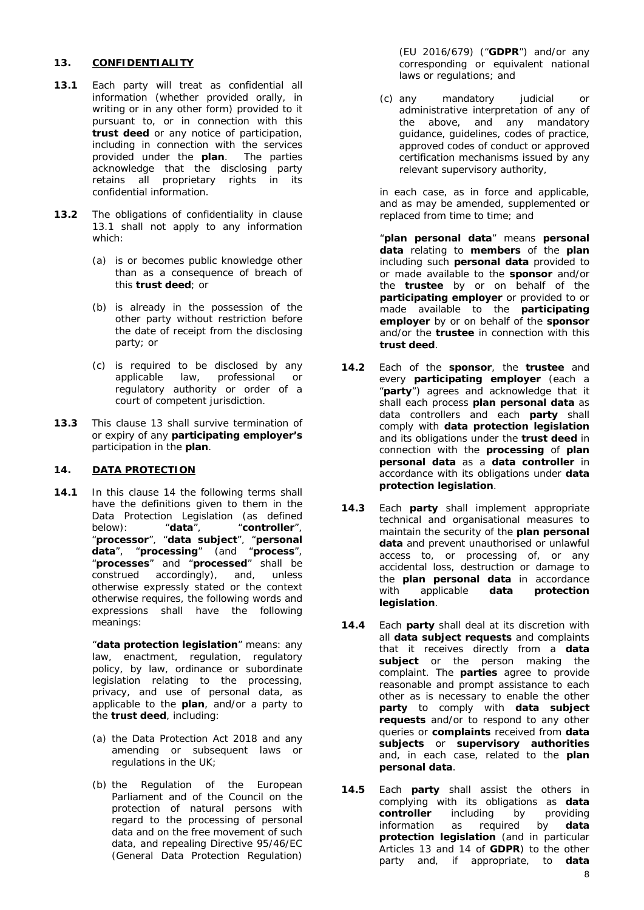## **13. CONFIDENTIALITY**

- <span id="page-7-0"></span>**13.1** Each party will treat as confidential all information (whether provided orally, in writing or in any other form) provided to it pursuant to, or in connection with this **trust deed** or any notice of participation, including in connection with the services provided under the **plan**. The parties acknowledge that the disclosing party retains all proprietary rights in its confidential information.
- 13.2 The obligations of confidentiality in clause [13.1](#page-7-0) shall not apply to any information which:
	- (a) is or becomes public knowledge other than as a consequence of breach of this **trust deed**; or
	- (b) is already in the possession of the other party without restriction before the date of receipt from the disclosing party; or
	- (c) is required to be disclosed by any applicable law, professional or regulatory authority or order of a court of competent jurisdiction.
- **13.3** This clause [13](#page-6-3) shall survive termination of or expiry of any **participating employer's** participation in the **plan**.

## <span id="page-7-1"></span>**14. DATA PROTECTION**

**14.1** In this clause [14](#page-7-1) the following terms shall have the definitions given to them in the Data Protection Legislation (as defined<br>below): "data", "controller", below): "**data**", "**controller**", "**processor**", "**data subject**", "**personal data**", "**processing**" (and "**process**", "**processes**" and "**processed**" shall be construed accordingly), and, unless otherwise expressly stated or the context otherwise requires, the following words and expressions shall have the following meanings:

> "**data protection legislation**" means: any law, enactment, regulation, regulatory policy, by law, ordinance or subordinate legislation relating to the processing, privacy, and use of personal data, as applicable to the **plan**, and/or a party to the **trust deed**, including:

- (a) the Data Protection Act 2018 and any amending or subsequent laws or regulations in the UK;
- (b) the Regulation of the European Parliament and of the Council on the protection of natural persons with regard to the processing of personal data and on the free movement of such data, and repealing Directive 95/46/EC (General Data Protection Regulation)

(EU 2016/679) ("**GDPR**") and/or any corresponding or equivalent national laws or regulations; and

(c) any mandatory judicial or administrative interpretation of any of the above, and any mandatory guidance, guidelines, codes of practice, approved codes of conduct or approved certification mechanisms issued by any relevant supervisory authority,

in each case, as in force and applicable, and as may be amended, supplemented or replaced from time to time; and

"**plan personal data**" means **personal data** relating to **members** of the **plan** including such **personal data** provided to or made available to the **sponsor** and/or the **trustee** by or on behalf of the **participating employer** or provided to or made available to the **participating employer** by or on behalf of the **sponsor**  and/or the **trustee** in connection with this **trust deed**.

- **14.2** Each of the **sponsor**, the **trustee** and every **participating employer** (each a "**party**") agrees and acknowledge that it shall each process **plan personal data** as data controllers and each **party** shall comply with **data protection legislation** and its obligations under the **trust deed** in connection with the **processing** of **plan personal data** as a **data controller** in accordance with its obligations under **data protection legislation**.
- **14.3** Each **party** shall implement appropriate technical and organisational measures to maintain the security of the **plan personal data** and prevent unauthorised or unlawful access to, or processing of, or any accidental loss, destruction or damage to the **plan personal data** in accordance with applicable **data protection legislation**.
- **14.4** Each **party** shall deal at its discretion with all **data subject requests** and complaints that it receives directly from a **data**  subject or the person making the complaint. The **parties** agree to provide reasonable and prompt assistance to each other as is necessary to enable the other **party** to comply with **data subject requests** and/or to respond to any other queries or **complaints** received from **data subjects** or **supervisory authorities**  and, in each case, related to the **plan personal data**.
- **14.5** Each **party** shall assist the others in complying with its obligations as **data controller** including by providing information as required by **data protection legislation** (and in particular Articles 13 and 14 of **GDPR**) to the other party and, if appropriate, to **data**